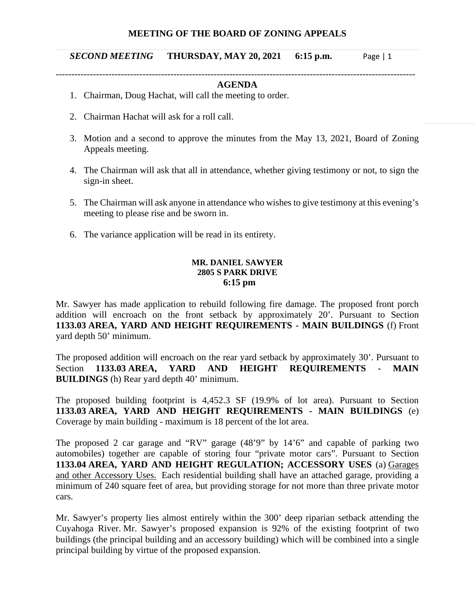### **MEETING OF THE BOARD OF ZONING APPEALS**

#### *SECOND MEETING* **THURSDAY, MAY 20, 2021 6:15 p.m.** Page | 1

#### -------------------------------------------------------------------------------------------------------------------- **AGENDA**

- 1. Chairman, Doug Hachat, will call the meeting to order.
- 2. Chairman Hachat will ask for a roll call.
- 3. Motion and a second to approve the minutes from the May 13, 2021, Board of Zoning Appeals meeting.
- 4. The Chairman will ask that all in attendance, whether giving testimony or not, to sign the sign-in sheet.
- 5. The Chairman will ask anyone in attendance who wishes to give testimony at this evening's meeting to please rise and be sworn in.
- 6. The variance application will be read in its entirety.

### **MR. DANIEL SAWYER 2805 S PARK DRIVE 6:15 pm**

Mr. Sawyer has made application to rebuild following fire damage. The proposed front porch addition will encroach on the front setback by approximately 20'. Pursuant to Section **1133.03 AREA, YARD AND HEIGHT REQUIREMENTS - MAIN BUILDINGS** (f) Front yard depth 50' minimum.

The proposed addition will encroach on the rear yard setback by approximately 30'. Pursuant to Section **1133.03 AREA, YARD AND HEIGHT REQUIREMENTS - MAIN BUILDINGS** (h) Rear yard depth 40' minimum.

The proposed building footprint is 4,452.3 SF (19.9% of lot area). Pursuant to Section **1133.03 AREA, YARD AND HEIGHT REQUIREMENTS - MAIN BUILDINGS** (e) Coverage by main building - maximum is 18 percent of the lot area.

The proposed 2 car garage and "RV" garage (48'9" by 14'6" and capable of parking two automobiles) together are capable of storing four "private motor cars". Pursuant to Section **1133.04 AREA, YARD AND HEIGHT REGULATION; ACCESSORY USES** (a) Garages and other Accessory Uses. Each residential building shall have an attached garage, providing a minimum of 240 square feet of area, but providing storage for not more than three private motor cars.

Mr. Sawyer's property lies almost entirely within the 300' deep riparian setback attending the Cuyahoga River. Mr. Sawyer's proposed expansion is 92% of the existing footprint of two buildings (the principal building and an accessory building) which will be combined into a single principal building by virtue of the proposed expansion.